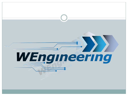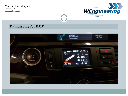Version:V2.1 Datum:28.04.2020



### **Datadisplay for BMW**

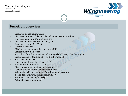Version:V2.1 Datum:28.04.2020



#### 2

### **Function overview**

- Display of the maximum values
- Display environmental data for the individual maximum values
- Timekeeping (0-100, 100-200, 200-250)
- Display of many values as a time diagram
- Read fault memory (8 DTCs)
- Clear fault memory
- OEM or external exhaust flap control via MFL
- Correction of vehicle speed
- Activation of the fuel cut-off (sound tuning) via MFL only N55, S55 engine
- Display control by touch and by (MFL only F model)
- Start menu adjustable
- Correction of the displayed vehicle HP
- Shift light configurable for each gear
- Diagram recording function for 25 seconds
- Temperature monitoring with alarm function
- Values adjustable for minimum / maximum temperatures
- 2 color designs (white, orange original BMW)
- Automatic change to night design
- Automatic display dimming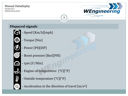Version:V2.1 Datum:28.04.2020



# **Dispayed signals**

- Speed [Km/h][mph]
- Torque [Nm]
- Power [PS][HP]
	- Boost pressure [Bar][PSI]
- rpm [U/Min]
- Engine oil temperature [°C][°F]
- Outside temperature [°C][°F]
- Acceleration in the direction of travel [m/s<sup>2</sup>]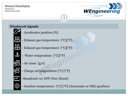Version:V2.1 Datum:28.04.2020



# **Displayed signals**

- 
- Accelerator position [%]
	- Exhaust gas temperature [°C][°F]
	- Exhaust gas temperature [°C][°F]
	- Water temperature [°C][°F]
	- Air mass [g/s]
	- Charge air temperature [°C] [°F]
	- -Staudruck vor DPF (Nur Diesel)
	- Gearbox temperature [°C] [°F] (Automatic or DKG gearbox)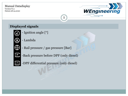偄

 $\overline{+}$  P

Version:V2.1 Datum:28.04.2020



# **Displayed signals**

- Ignition angle [°]
- Lambda
- Rail pressure / gas pressure [Bar]
	- -Back pressure before DPF (only diesel)

5

-DPF differential pressure (only diesel)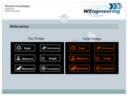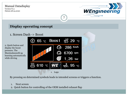Version:V2.1 Datum:28.04.2020



### **Display operating concept**

1. Screen Dash -> Boost

2. Quick button and display the boost pressure. The Maximalausschl ag learning automatically while driving



7

By pressing on determined symbols leads in intended screens or triggers a function.

- 1. Next screen
- 2. Quick button for controlling of the OEM installed exhaust flap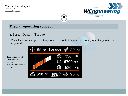Version:V2.1 Datum:28.04.2020



### **Display operating concept**

1. ScreenDash -> Torque

For vehicles with no gearbox temperature sensor in this area, the cooling water temperature is displayed

8

Torque gauge. Of the deflection learning automatically while driving

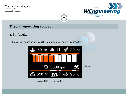Version:V2.1 Datum:28.04.2020



# **Display operating concept**

1. Shift light

This area flashes as soon as the maximum set speed is exceeded



9

Trigger RPM for shift light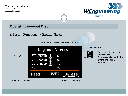Version:V2.1 Datum:28.04.2020



### **Operating concept Display**

1. Screen Functions -> Engine Check

Number of errors in engine control unit

10



Fehlerstatus



- 1. Fault currently not present, but was saved
- 2. Error was registered in this driving cycle and is peresent.

Read fault memory **Clear fault memory** Clear fault memory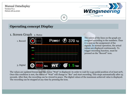Version:V2.1 Datum:28.04.2020



### **Operating concept Display**

1. Screen Graph 2. Status



The colors of the lines on the graph are assigned according to the numbers. Thus it is seen as the assignment of the signals. In normal operation, the actual values are displayed continuously. To trigger recording function, must be pressed on the "Record" icon.

The values are updated freezes and the status "Wait" is displayed. In order to wait for a gas pedal position of at least 90%. Once this condition is met, the status of "Wait" will change to "Rec" and start recording. This stops automatically after 25 seconds. After that, the recording can be viewed in peace. The digital values of the maximum achieved value is displayed. The recording can be stopped at any time by pressing the icon.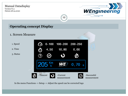Version:V2.1 Datum:28.04.2020



## **Operating concept Display**

### 1. Screen Measure

1. Speed

2. Time

3. Status



12

In the menu Functions -> Setup -> Adjust the speed can be corrected logo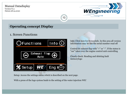Version:V2.1 Datum:28.04.2020



## **Operating concept Display**

### 1. Screen Functions



Info: Click here for ScreenInfo. In this area all version information may be like the serial number read off

Control de exhaust flap with "+" or "-". If the status is "car" takes over the engine control unit controlling

Closely check: Reading and deleting fault memorylogo

Setup: Access the settings menu which is described on the next page.

With a press of the logo system leads to the setting of the water injection WIC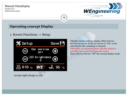Version:V2.1 Datum:28.04.2020



### **Operating concept Display**

1. Screen Functions -> Setup



14

The Save button settings display offset and Car Service are stored. If the car service to "On" as the interface for the workshop is released. Otherwise, no communication with the vehicle is possible via an external diagnostic tester! done with Car Service "Off" the normal display mode.

Accept night design or not.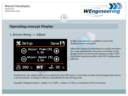Version:V2.1 Datum:28.04.2020



### **Operating concept Display**

1. Screen Setup -> Adjust



In this setup menu it is possible to correct the displayed power and speed.

Adjust the displayed performance is usually necessary for a map optimization. the power correction on the display can be set only for the injection profile "OFF". For further injection profile is the WIC configuration software.

Furthermore, the vehicle speed can be adjusted to the GPS speed. A correction is made in percentage terms and in 0.5% increments. A change is effective immediately for this driving cycle.

15

Example: Displayed speed = 100km / h, V GPS = 102km / h. Thus, a correction of 2% is necessary.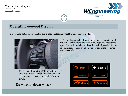Version:V2.1 Datum:28.04.2020



### **Operating concept Display**

1. Operation of the display via the multifunction steering wheel buttons (Only F models)

16



1. Use the paddles on the MFL can switch quickly between the individual screens. For this purpose, press the rocker slightly up or down.

$$
Up = front, down = back
$$

2. To speed can reach a desired menu, rocker operated all the way up or down. Here, the main menu pops up. Repeat this operation until the selection is at the desired position. In the sub-menu is accessed by an easy operation of the rocker or wait 5 seconds.